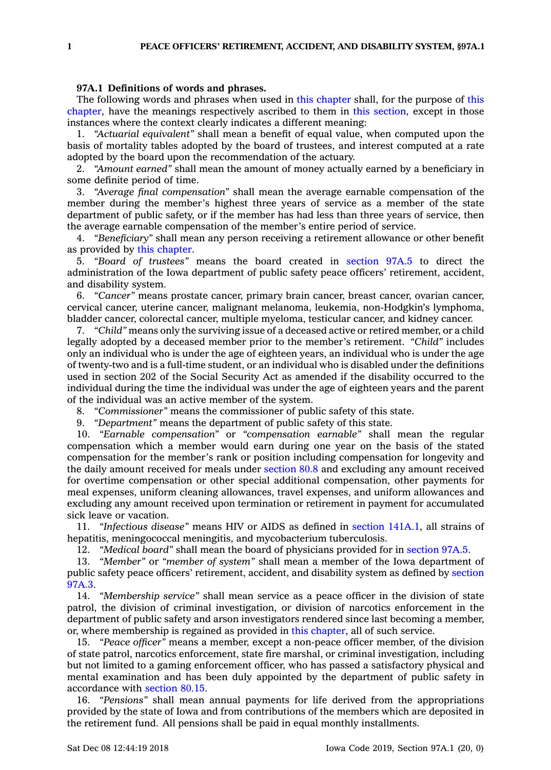## **97A.1 Definitions of words and phrases.**

The following words and phrases when used in this [chapter](https://www.legis.iowa.gov/docs/code//97A.pdf) shall, for the purpose of [this](https://www.legis.iowa.gov/docs/code//97A.pdf) [chapter](https://www.legis.iowa.gov/docs/code//97A.pdf), have the meanings respectively ascribed to them in this [section](https://www.legis.iowa.gov/docs/code/97A.1.pdf), except in those instances where the context clearly indicates <sup>a</sup> different meaning:

1. *"Actuarial equivalent"* shall mean <sup>a</sup> benefit of equal value, when computed upon the basis of mortality tables adopted by the board of trustees, and interest computed at <sup>a</sup> rate adopted by the board upon the recommendation of the actuary.

2. *"Amount earned"* shall mean the amount of money actually earned by <sup>a</sup> beneficiary in some definite period of time.

3. *"Average final compensation"* shall mean the average earnable compensation of the member during the member's highest three years of service as <sup>a</sup> member of the state department of public safety, or if the member has had less than three years of service, then the average earnable compensation of the member's entire period of service.

4. *"Beneficiary"* shall mean any person receiving <sup>a</sup> retirement allowance or other benefit as provided by this [chapter](https://www.legis.iowa.gov/docs/code//97A.pdf).

5. *"Board of trustees"* means the board created in [section](https://www.legis.iowa.gov/docs/code/97A.5.pdf) 97A.5 to direct the administration of the Iowa department of public safety peace officers' retirement, accident, and disability system.

6. *"Cancer"* means prostate cancer, primary brain cancer, breast cancer, ovarian cancer, cervical cancer, uterine cancer, malignant melanoma, leukemia, non-Hodgkin's lymphoma, bladder cancer, colorectal cancer, multiple myeloma, testicular cancer, and kidney cancer.

7. *"Child"* means only the surviving issue of <sup>a</sup> deceased active or retired member, or <sup>a</sup> child legally adopted by <sup>a</sup> deceased member prior to the member's retirement. *"Child"* includes only an individual who is under the age of eighteen years, an individual who is under the age of twenty-two and is <sup>a</sup> full-time student, or an individual who is disabled under the definitions used in section 202 of the Social Security Act as amended if the disability occurred to the individual during the time the individual was under the age of eighteen years and the parent of the individual was an active member of the system.

8. *"Commissioner"* means the commissioner of public safety of this state.

9. *"Department"* means the department of public safety of this state.

10. *"Earnable compensation"* or *"compensation earnable"* shall mean the regular compensation which <sup>a</sup> member would earn during one year on the basis of the stated compensation for the member's rank or position including compensation for longevity and the daily amount received for meals under [section](https://www.legis.iowa.gov/docs/code/80.8.pdf) 80.8 and excluding any amount received for overtime compensation or other special additional compensation, other payments for meal expenses, uniform cleaning allowances, travel expenses, and uniform allowances and excluding any amount received upon termination or retirement in payment for accumulated sick leave or vacation.

11. *"Infectious disease"* means HIV or AIDS as defined in section [141A.1](https://www.legis.iowa.gov/docs/code/141A.1.pdf), all strains of hepatitis, meningococcal meningitis, and mycobacterium tuberculosis.

12. *"Medical board"* shall mean the board of physicians provided for in [section](https://www.legis.iowa.gov/docs/code/97A.5.pdf) 97A.5.

13. *"Member"* or *"member of system"* shall mean <sup>a</sup> member of the Iowa department of public safety peace officers' retirement, accident, and disability system as defined by [section](https://www.legis.iowa.gov/docs/code/97A.3.pdf) [97A.3](https://www.legis.iowa.gov/docs/code/97A.3.pdf).

14. *"Membership service"* shall mean service as <sup>a</sup> peace officer in the division of state patrol, the division of criminal investigation, or division of narcotics enforcement in the department of public safety and arson investigators rendered since last becoming <sup>a</sup> member, or, where membership is regained as provided in this [chapter](https://www.legis.iowa.gov/docs/code//97A.pdf), all of such service.

15. *"Peace officer"* means <sup>a</sup> member, except <sup>a</sup> non-peace officer member, of the division of state patrol, narcotics enforcement, state fire marshal, or criminal investigation, including but not limited to <sup>a</sup> gaming enforcement officer, who has passed <sup>a</sup> satisfactory physical and mental examination and has been duly appointed by the department of public safety in accordance with [section](https://www.legis.iowa.gov/docs/code/80.15.pdf) 80.15.

16. *"Pensions"* shall mean annual payments for life derived from the appropriations provided by the state of Iowa and from contributions of the members which are deposited in the retirement fund. All pensions shall be paid in equal monthly installments.